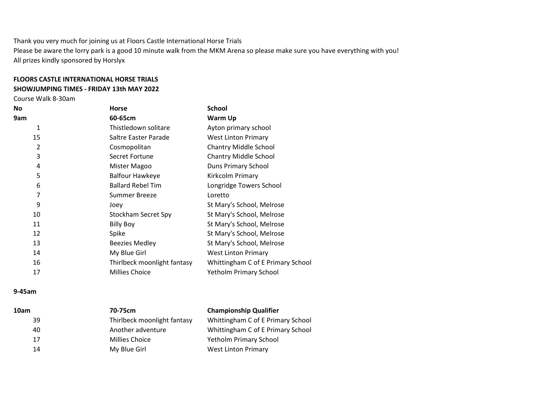Thank you very much for joining us at Floors Castle International Horse Trials Please be aware the lorry park is a good 10 minute walk from the MKM Arena so please make sure you have everything with you! All prizes kindly sponsored by Horslyx

## FLOORS CASTLE INTERNATIONAL HORSE TRIALS

## SHOWJUMPING TIMES - FRIDAY 13th MAY 2022

Course Walk 8-30am

| No             | <b>Horse</b>                | <b>School</b>                     |
|----------------|-----------------------------|-----------------------------------|
| 9am            | 60-65cm                     | Warm Up                           |
| 1              | Thistledown solitare        | Ayton primary school              |
| 15             | Saltre Easter Parade        | <b>West Linton Primary</b>        |
| $\overline{2}$ | Cosmopolitan                | <b>Chantry Middle School</b>      |
| 3              | Secret Fortune              | <b>Chantry Middle School</b>      |
| 4              | Mister Magoo                | Duns Primary School               |
| 5              | <b>Balfour Hawkeye</b>      | Kirkcolm Primary                  |
| 6              | <b>Ballard Rebel Tim</b>    | Longridge Towers School           |
| 7              | <b>Summer Breeze</b>        | Loretto                           |
| 9              | Joev                        | St Mary's School, Melrose         |
| 10             | Stockham Secret Spy         | St Mary's School, Melrose         |
| 11             | <b>Billy Boy</b>            | St Mary's School, Melrose         |
| 12             | Spike                       | St Mary's School, Melrose         |
| 13             | <b>Beezies Medley</b>       | St Mary's School, Melrose         |
| 14             | My Blue Girl                | <b>West Linton Primary</b>        |
| 16             | Thirlbeck moonlight fantasy | Whittingham C of E Primary School |
| 17             | <b>Millies Choice</b>       | <b>Yetholm Primary School</b>     |

## 9-45am

| 10am | 70-75cm                     | <b>Championship Qualifier</b>     |
|------|-----------------------------|-----------------------------------|
| 39   | Thirlbeck moonlight fantasy | Whittingham C of E Primary School |
| 40   | Another adventure           | Whittingham C of E Primary School |
| 17   | <b>Millies Choice</b>       | <b>Yetholm Primary School</b>     |
| 14   | My Blue Girl                | West Linton Primary               |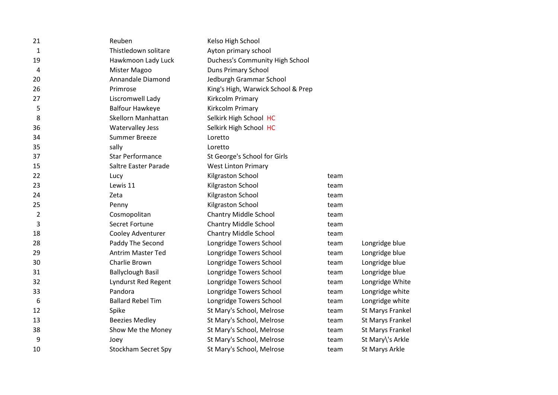| 21             | Reuben                     | Kelso High School                  |      |                         |
|----------------|----------------------------|------------------------------------|------|-------------------------|
| $\mathbf{1}$   | Thistledown solitare       | Ayton primary school               |      |                         |
| 19             | Hawkmoon Lady Luck         | Duchess's Community High School    |      |                         |
| 4              | Mister Magoo               | <b>Duns Primary School</b>         |      |                         |
| 20             | Annandale Diamond          | Jedburgh Grammar School            |      |                         |
| 26             | Primrose                   | King's High, Warwick School & Prep |      |                         |
| 27             | Liscromwell Lady           | Kirkcolm Primary                   |      |                         |
| 5              | <b>Balfour Hawkeye</b>     | Kirkcolm Primary                   |      |                         |
| 8              | Skellorn Manhattan         | Selkirk High School HC             |      |                         |
| 36             | <b>Watervalley Jess</b>    | Selkirk High School HC             |      |                         |
| 34             | <b>Summer Breeze</b>       | Loretto                            |      |                         |
| 35             | sally                      | Loretto                            |      |                         |
| 37             | <b>Star Performance</b>    | St George's School for Girls       |      |                         |
| 15             | Saltre Easter Parade       | <b>West Linton Primary</b>         |      |                         |
| 22             | Lucy                       | Kilgraston School                  | team |                         |
| 23             | Lewis 11                   | Kilgraston School                  | team |                         |
| 24             | Zeta                       | Kilgraston School                  | team |                         |
| 25             | Penny                      | Kilgraston School                  | team |                         |
| $\overline{2}$ | Cosmopolitan               | <b>Chantry Middle School</b>       | team |                         |
| 3              | Secret Fortune             | <b>Chantry Middle School</b>       | team |                         |
| 18             | Cooley Adventurer          | <b>Chantry Middle School</b>       | team |                         |
| 28             | Paddy The Second           | Longridge Towers School            | team | Longridge blue          |
| 29             | <b>Antrim Master Ted</b>   | Longridge Towers School            | team | Longridge blue          |
| 30             | Charlie Brown              | Longridge Towers School            | team | Longridge blue          |
| 31             | <b>Ballyclough Basil</b>   | Longridge Towers School            | team | Longridge blue          |
| 32             | <b>Lyndurst Red Regent</b> | Longridge Towers School            | team | Longridge White         |
| 33             | Pandora                    | Longridge Towers School            | team | Longridge white         |
| 6              | <b>Ballard Rebel Tim</b>   | Longridge Towers School            | team | Longridge white         |
| 12             | Spike                      | St Mary's School, Melrose          | team | St Marys Frankel        |
| 13             | <b>Beezies Medley</b>      | St Mary's School, Melrose          | team | <b>St Marys Frankel</b> |
| 38             | Show Me the Money          | St Mary's School, Melrose          | team | <b>St Marys Frankel</b> |
| 9              | Joey                       | St Mary's School, Melrose          | team | St Mary\'s Arkle        |
| 10             | <b>Stockham Secret Spy</b> | St Mary's School, Melrose          | team | St Marys Arkle          |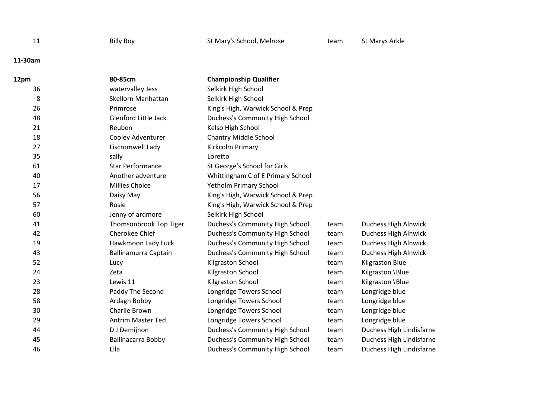|  | Billy Boy |
|--|-----------|

## 11-30am

| 12pm | 80-85cm                     | <b>Championship Qualifier</b>      |      |                             |
|------|-----------------------------|------------------------------------|------|-----------------------------|
| 36   | watervalley Jess            | Selkirk High School                |      |                             |
| 8    | Skellorn Manhattan          | Selkirk High School                |      |                             |
| 26   | Primrose                    | King's High, Warwick School & Prep |      |                             |
| 48   | <b>Glenford Little Jack</b> | Duchess's Community High School    |      |                             |
| 21   | Reuben                      | Kelso High School                  |      |                             |
| 18   | Cooley Adventurer           | <b>Chantry Middle School</b>       |      |                             |
| 27   | Liscromwell Lady            | Kirkcolm Primary                   |      |                             |
| 35   | sally                       | Loretto                            |      |                             |
| 61   | <b>Star Performance</b>     | St George's School for Girls       |      |                             |
| 40   | Another adventure           | Whittingham C of E Primary School  |      |                             |
| 17   | <b>Millies Choice</b>       | <b>Yetholm Primary School</b>      |      |                             |
| 56   | Daisy May                   | King's High, Warwick School & Prep |      |                             |
| 57   | Rosie                       | King's High, Warwick School & Prep |      |                             |
| 60   | Jenny of ardmore            | Selkirk High School                |      |                             |
| 41   | Thomsonbrook Top Tiger      | Duchess's Community High School    | team | Duchess High Alnwick        |
| 42   | Cherokee Chief              | Duchess's Community High School    | team | Duchess High Alnwick        |
| 19   | Hawkmoon Lady Luck          | Duchess's Community High School    | team | <b>Duchess High Alnwick</b> |
| 43   | <b>Ballinamurra Captain</b> | Duchess's Community High School    | team | Duchess High Alnwick        |
| 52   | Lucy                        | Kilgraston School                  | team | <b>Kilgraston Blue</b>      |
| 24   | Zeta                        | Kilgraston School                  | team | Kilgraston \Blue            |
| 23   | Lewis 11                    | Kilgraston School                  | team | Kilgraston \Blue            |
| 28   | Paddy The Second            | Longridge Towers School            | team | Longridge blue              |
| 58   | Ardagh Bobby                | Longridge Towers School            | team | Longridge blue              |
| 30   | Charlie Brown               | Longridge Towers School            | team | Longridge blue              |
| 29   | <b>Antrim Master Ted</b>    | Longridge Towers School            | team | Longridge blue              |
| 44   | D J Demijhon                | Duchess's Community High School    | team | Duchess High Lindisfarne    |
| 45   | <b>Ballinacarra Bobby</b>   | Duchess's Community High School    | team | Duchess High Lindisfarne    |
| 46   | Ella                        | Duchess's Community High School    | team | Duchess High Lindisfarne    |
|      |                             |                                    |      |                             |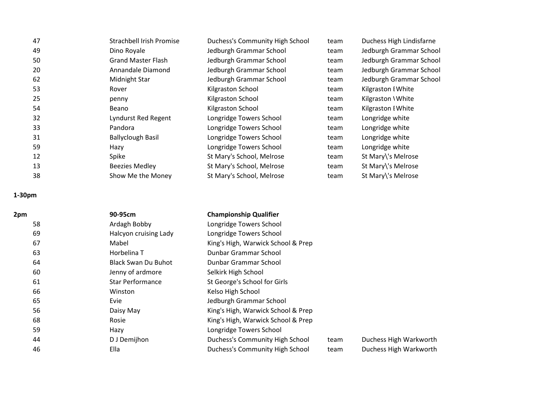| Jedburgh Grammar School<br>Jedburgh Grammar School<br>Jedburgh Grammar School<br>Jedburgh Grammar School |
|----------------------------------------------------------------------------------------------------------|
|                                                                                                          |
|                                                                                                          |
|                                                                                                          |
|                                                                                                          |
| Kilgraston I White                                                                                       |
| Kilgraston \ White                                                                                       |
| Kilgraston I White                                                                                       |
| Longridge white                                                                                          |
| Longridge white                                                                                          |
| Longridge white                                                                                          |
| Longridge white                                                                                          |
| St Mary\'s Melrose                                                                                       |
| St Mary\'s Melrose                                                                                       |
| St Mary\'s Melrose                                                                                       |
|                                                                                                          |

1-30pm

| 2pm | 90-95cm                    | <b>Championship Qualifier</b>      |      |                        |
|-----|----------------------------|------------------------------------|------|------------------------|
| 58  | Ardagh Bobby               | Longridge Towers School            |      |                        |
| 69  | Halcyon cruising Lady      | Longridge Towers School            |      |                        |
| 67  | Mabel                      | King's High, Warwick School & Prep |      |                        |
| 63  | Horbelina T                | Dunbar Grammar School              |      |                        |
| 64  | <b>Black Swan Du Buhot</b> | Dunbar Grammar School              |      |                        |
| 60  | Jenny of ardmore           | Selkirk High School                |      |                        |
| 61  | <b>Star Performance</b>    | St George's School for Girls       |      |                        |
| 66  | Winston                    | Kelso High School                  |      |                        |
| 65  | Evie                       | Jedburgh Grammar School            |      |                        |
| 56  | Daisy May                  | King's High, Warwick School & Prep |      |                        |
| 68  | Rosie                      | King's High, Warwick School & Prep |      |                        |
| 59  | Hazy                       | Longridge Towers School            |      |                        |
| 44  | D J Demijhon               | Duchess's Community High School    | team | Duchess High Warkworth |
| 46  | Ella                       | Duchess's Community High School    | team | Duchess High Warkworth |